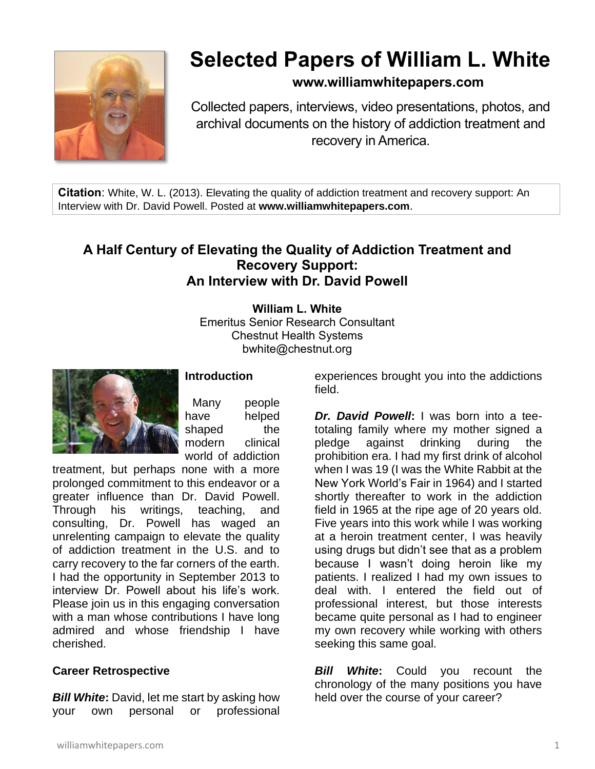

# **Selected Papers of William L. White**

# **www.williamwhitepapers.com**

Collected papers, interviews, video presentations, photos, and archival documents on the history of addiction treatment and recovery in America.

**Citation**: White, W. L. (2013). Elevating the quality of addiction treatment and recovery support: An Interview with Dr. David Powell. Posted at **www.williamwhitepapers.com**.

# **A Half Century of Elevating the Quality of Addiction Treatment and Recovery Support: An Interview with Dr. David Powell**

**William L. White** Emeritus Senior Research Consultant Chestnut Health Systems bwhite@chestnut.org



## **Introduction**

Many people have helped shaped the modern clinical world of addiction

treatment, but perhaps none with a more prolonged commitment to this endeavor or a greater influence than Dr. David Powell. Through his writings, teaching, and consulting, Dr. Powell has waged an unrelenting campaign to elevate the quality of addiction treatment in the U.S. and to carry recovery to the far corners of the earth. I had the opportunity in September 2013 to interview Dr. Powell about his life's work. Please join us in this engaging conversation with a man whose contributions I have long admired and whose friendship I have cherished.

## **Career Retrospective**

*Bill White***:** David, let me start by asking how your own personal or professional

experiences brought you into the addictions field.

*Dr. David Powell***:** I was born into a teetotaling family where my mother signed a pledge against drinking during the prohibition era. I had my first drink of alcohol when I was 19 (I was the White Rabbit at the New York World's Fair in 1964) and I started shortly thereafter to work in the addiction field in 1965 at the ripe age of 20 years old. Five years into this work while I was working at a heroin treatment center, I was heavily using drugs but didn't see that as a problem because I wasn't doing heroin like my patients. I realized I had my own issues to deal with. I entered the field out of professional interest, but those interests became quite personal as I had to engineer my own recovery while working with others seeking this same goal.

*Bill White***:** Could you recount the chronology of the many positions you have held over the course of your career?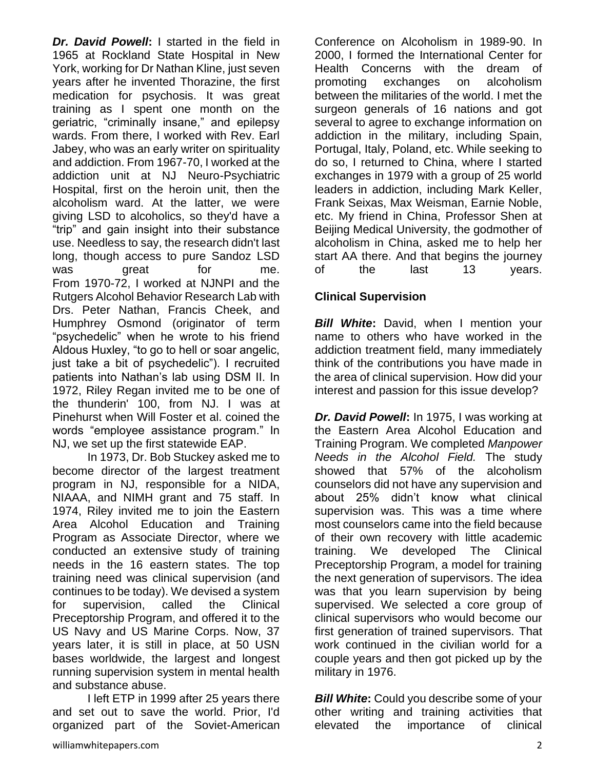*Dr. David Powell***:** I started in the field in 1965 at Rockland State Hospital in New York, working for Dr Nathan Kline, just seven years after he invented Thorazine, the first medication for psychosis. It was great training as I spent one month on the geriatric, "criminally insane," and epilepsy wards. From there, I worked with Rev. Earl Jabey, who was an early writer on spirituality and addiction. From 1967-70, I worked at the addiction unit at NJ Neuro-Psychiatric Hospital, first on the heroin unit, then the alcoholism ward. At the latter, we were giving LSD to alcoholics, so they'd have a "trip" and gain insight into their substance use. Needless to say, the research didn't last long, though access to pure Sandoz LSD was great for me. From 1970-72, I worked at NJNPI and the Rutgers Alcohol Behavior Research Lab with Drs. Peter Nathan, Francis Cheek, and Humphrey Osmond (originator of term "psychedelic" when he wrote to his friend Aldous Huxley, "to go to hell or soar angelic, just take a bit of psychedelic"). I recruited patients into Nathan's lab using DSM II. In 1972, Riley Regan invited me to be one of the thunderin' 100, from NJ. I was at Pinehurst when Will Foster et al. coined the words "employee assistance program." In NJ, we set up the first statewide EAP.

In 1973, Dr. Bob Stuckey asked me to become director of the largest treatment program in NJ, responsible for a NIDA, NIAAA, and NIMH grant and 75 staff. In 1974, Riley invited me to join the Eastern Area Alcohol Education and Training Program as Associate Director, where we conducted an extensive study of training needs in the 16 eastern states. The top training need was clinical supervision (and continues to be today). We devised a system for supervision, called the Clinical Preceptorship Program, and offered it to the US Navy and US Marine Corps. Now, 37 years later, it is still in place, at 50 USN bases worldwide, the largest and longest running supervision system in mental health and substance abuse.

I left ETP in 1999 after 25 years there and set out to save the world. Prior, I'd organized part of the Soviet-American Conference on Alcoholism in 1989-90. In 2000, I formed the International Center for Health Concerns with the dream of promoting exchanges on alcoholism between the militaries of the world. I met the surgeon generals of 16 nations and got several to agree to exchange information on addiction in the military, including Spain, Portugal, Italy, Poland, etc. While seeking to do so, I returned to China, where I started exchanges in 1979 with a group of 25 world leaders in addiction, including Mark Keller, Frank Seixas, Max Weisman, Earnie Noble, etc. My friend in China, Professor Shen at Beijing Medical University, the godmother of alcoholism in China, asked me to help her start AA there. And that begins the journey of the last 13 years.

## **Clinical Supervision**

**Bill White:** David, when I mention your name to others who have worked in the addiction treatment field, many immediately think of the contributions you have made in the area of clinical supervision. How did your interest and passion for this issue develop?

*Dr. David Powell***:** In 1975, I was working at the Eastern Area Alcohol Education and Training Program. We completed *Manpower Needs in the Alcohol Field.* The study showed that 57% of the alcoholism counselors did not have any supervision and about 25% didn't know what clinical supervision was. This was a time where most counselors came into the field because of their own recovery with little academic training. We developed The Clinical Preceptorship Program, a model for training the next generation of supervisors. The idea was that you learn supervision by being supervised. We selected a core group of clinical supervisors who would become our first generation of trained supervisors. That work continued in the civilian world for a couple years and then got picked up by the military in 1976.

*Bill White***:** Could you describe some of your other writing and training activities that elevated the importance of clinical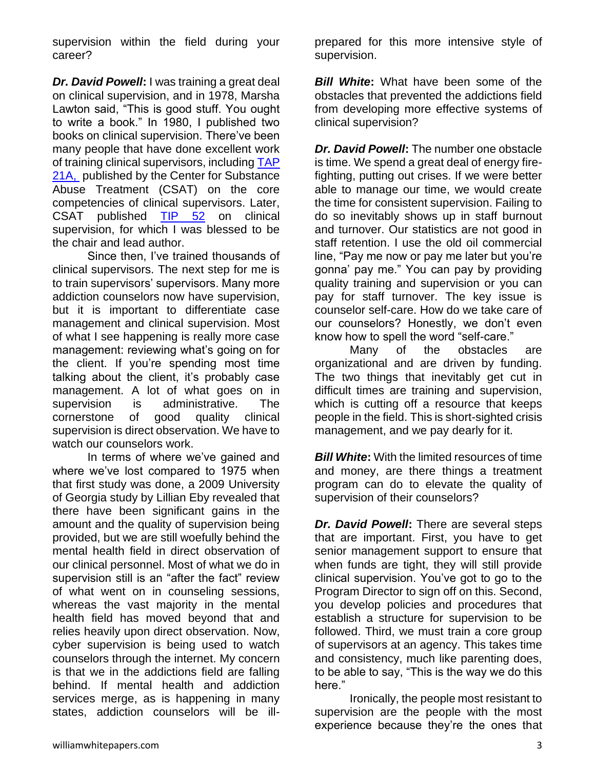supervision within the field during your career?

*Dr. David Powell***:** I was training a great deal on clinical supervision, and in 1978, Marsha Lawton said, "This is good stuff. You ought to write a book." In 1980, I published two books on clinical supervision. There've been many people that have done excellent work of training clinical supervisors, includin[g TAP](http://store.samhsa.gov/product/TAP-21-A-Competencies-for-Substance-Abuse-Treatment-Clinical-Supervisors/SMA12-4243)  [21A,](http://store.samhsa.gov/product/TAP-21-A-Competencies-for-Substance-Abuse-Treatment-Clinical-Supervisors/SMA12-4243) published by the Center for Substance Abuse Treatment (CSAT) on the core competencies of clinical supervisors. Later, CSAT published [TIP 52](http://www.samhsa.gov/samhsanewsletter/Volume_17_Number_6/Tip52.aspx) on clinical supervision, for which I was blessed to be the chair and lead author.

Since then, I've trained thousands of clinical supervisors. The next step for me is to train supervisors' supervisors. Many more addiction counselors now have supervision, but it is important to differentiate case management and clinical supervision. Most of what I see happening is really more case management: reviewing what's going on for the client. If you're spending most time talking about the client, it's probably case management. A lot of what goes on in supervision is administrative. The cornerstone of good quality clinical supervision is direct observation. We have to watch our counselors work.

In terms of where we've gained and where we've lost compared to 1975 when that first study was done, a 2009 University of Georgia study by Lillian Eby revealed that there have been significant gains in the amount and the quality of supervision being provided, but we are still woefully behind the mental health field in direct observation of our clinical personnel. Most of what we do in supervision still is an "after the fact" review of what went on in counseling sessions, whereas the vast majority in the mental health field has moved beyond that and relies heavily upon direct observation. Now, cyber supervision is being used to watch counselors through the internet. My concern is that we in the addictions field are falling behind. If mental health and addiction services merge, as is happening in many states, addiction counselors will be illprepared for this more intensive style of supervision.

*Bill White***:** What have been some of the obstacles that prevented the addictions field from developing more effective systems of clinical supervision?

*Dr. David Powell***:** The number one obstacle is time. We spend a great deal of energy firefighting, putting out crises. If we were better able to manage our time, we would create the time for consistent supervision. Failing to do so inevitably shows up in staff burnout and turnover. Our statistics are not good in staff retention. I use the old oil commercial line, "Pay me now or pay me later but you're gonna' pay me." You can pay by providing quality training and supervision or you can pay for staff turnover. The key issue is counselor self-care. How do we take care of our counselors? Honestly, we don't even know how to spell the word "self-care."

Many of the obstacles are organizational and are driven by funding. The two things that inevitably get cut in difficult times are training and supervision, which is cutting off a resource that keeps people in the field. This is short-sighted crisis management, and we pay dearly for it.

*Bill White:* With the limited resources of time and money, are there things a treatment program can do to elevate the quality of supervision of their counselors?

*Dr. David Powell***:** There are several steps that are important. First, you have to get senior management support to ensure that when funds are tight, they will still provide clinical supervision. You've got to go to the Program Director to sign off on this. Second, you develop policies and procedures that establish a structure for supervision to be followed. Third, we must train a core group of supervisors at an agency. This takes time and consistency, much like parenting does, to be able to say, "This is the way we do this here."

Ironically, the people most resistant to supervision are the people with the most experience because they're the ones that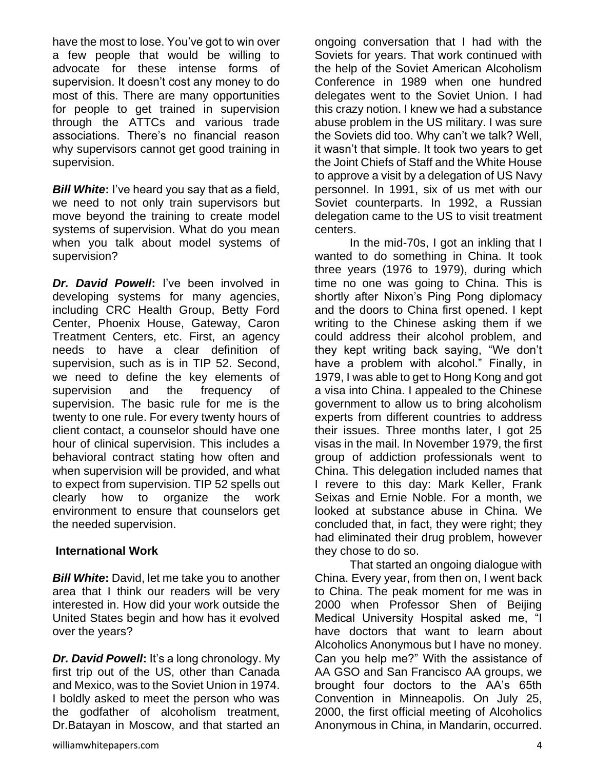have the most to lose. You've got to win over a few people that would be willing to advocate for these intense forms of supervision. It doesn't cost any money to do most of this. There are many opportunities for people to get trained in supervision through the ATTCs and various trade associations. There's no financial reason why supervisors cannot get good training in supervision.

*Bill White***:** I've heard you say that as a field, we need to not only train supervisors but move beyond the training to create model systems of supervision. What do you mean when you talk about model systems of supervision?

*Dr. David Powell***:** I've been involved in developing systems for many agencies, including CRC Health Group, Betty Ford Center, Phoenix House, Gateway, Caron Treatment Centers, etc. First, an agency needs to have a clear definition of supervision, such as is in TIP 52. Second, we need to define the key elements of supervision and the frequency of supervision. The basic rule for me is the twenty to one rule. For every twenty hours of client contact, a counselor should have one hour of clinical supervision. This includes a behavioral contract stating how often and when supervision will be provided, and what to expect from supervision. TIP 52 spells out clearly how to organize the work environment to ensure that counselors get the needed supervision.

#### **International Work**

*Bill White***:** David, let me take you to another area that I think our readers will be very interested in. How did your work outside the United States begin and how has it evolved over the years?

*Dr. David Powell***:** It's a long chronology. My first trip out of the US, other than Canada and Mexico, was to the Soviet Union in 1974. I boldly asked to meet the person who was the godfather of alcoholism treatment, Dr.Batayan in Moscow, and that started an ongoing conversation that I had with the Soviets for years. That work continued with the help of the Soviet American Alcoholism Conference in 1989 when one hundred delegates went to the Soviet Union. I had this crazy notion. I knew we had a substance abuse problem in the US military. I was sure the Soviets did too. Why can't we talk? Well, it wasn't that simple. It took two years to get the Joint Chiefs of Staff and the White House to approve a visit by a delegation of US Navy personnel. In 1991, six of us met with our Soviet counterparts. In 1992, a Russian delegation came to the US to visit treatment centers.

In the mid-70s, I got an inkling that I wanted to do something in China. It took three years (1976 to 1979), during which time no one was going to China. This is shortly after Nixon's Ping Pong diplomacy and the doors to China first opened. I kept writing to the Chinese asking them if we could address their alcohol problem, and they kept writing back saying, "We don't have a problem with alcohol." Finally, in 1979, I was able to get to Hong Kong and got a visa into China. I appealed to the Chinese government to allow us to bring alcoholism experts from different countries to address their issues. Three months later, I got 25 visas in the mail. In November 1979, the first group of addiction professionals went to China. This delegation included names that I revere to this day: Mark Keller, Frank Seixas and Ernie Noble. For a month, we looked at substance abuse in China. We concluded that, in fact, they were right; they had eliminated their drug problem, however they chose to do so.

That started an ongoing dialogue with China. Every year, from then on, I went back to China. The peak moment for me was in 2000 when Professor Shen of Beijing Medical University Hospital asked me, "I have doctors that want to learn about Alcoholics Anonymous but I have no money. Can you help me?" With the assistance of AA GSO and San Francisco AA groups, we brought four doctors to the AA's 65th Convention in Minneapolis. On July 25, 2000, the first official meeting of Alcoholics Anonymous in China, in Mandarin, occurred.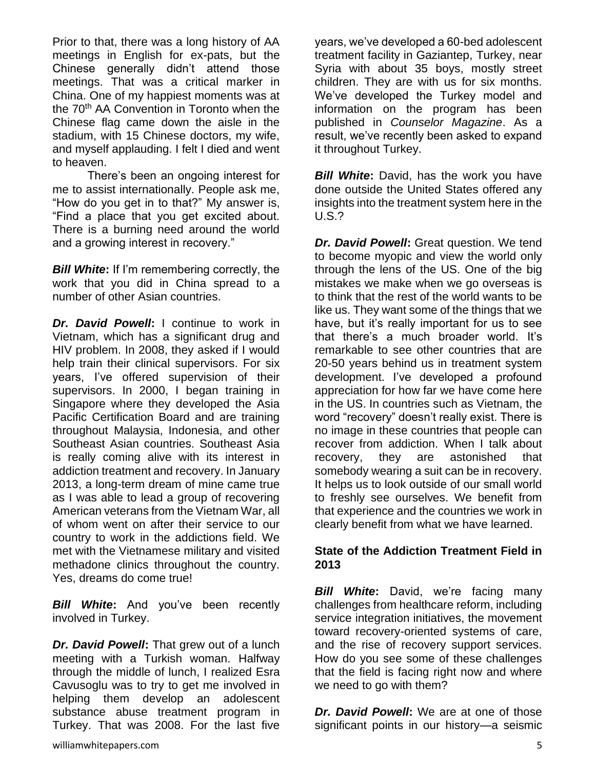Prior to that, there was a long history of AA meetings in English for ex-pats, but the Chinese generally didn't attend those meetings. That was a critical marker in China. One of my happiest moments was at the 70<sup>th</sup> AA Convention in Toronto when the Chinese flag came down the aisle in the stadium, with 15 Chinese doctors, my wife, and myself applauding. I felt I died and went to heaven.

There's been an ongoing interest for me to assist internationally. People ask me, "How do you get in to that?" My answer is, "Find a place that you get excited about. There is a burning need around the world and a growing interest in recovery."

*Bill White***:** If I'm remembering correctly, the work that you did in China spread to a number of other Asian countries.

*Dr. David Powell***:** I continue to work in Vietnam, which has a significant drug and HIV problem. In 2008, they asked if I would help train their clinical supervisors. For six years, I've offered supervision of their supervisors. In 2000, I began training in Singapore where they developed the Asia Pacific Certification Board and are training throughout Malaysia, Indonesia, and other Southeast Asian countries. Southeast Asia is really coming alive with its interest in addiction treatment and recovery. In January 2013, a long-term dream of mine came true as I was able to lead a group of recovering American veterans from the Vietnam War, all of whom went on after their service to our country to work in the addictions field. We met with the Vietnamese military and visited methadone clinics throughout the country. Yes, dreams do come true!

*Bill White***:** And you've been recently involved in Turkey.

*Dr. David Powell***:** That grew out of a lunch meeting with a Turkish woman. Halfway through the middle of lunch, I realized Esra Cavusoglu was to try to get me involved in helping them develop an adolescent substance abuse treatment program in Turkey. That was 2008. For the last five

years, we've developed a 60-bed adolescent treatment facility in Gaziantep, Turkey, near Syria with about 35 boys, mostly street children. They are with us for six months. We've developed the Turkey model and information on the program has been published in *Counselor Magazine*. As a result, we've recently been asked to expand it throughout Turkey.

*Bill White***:** David, has the work you have done outside the United States offered any insights into the treatment system here in the U.S.?

*Dr. David Powell***:** Great question. We tend to become myopic and view the world only through the lens of the US. One of the big mistakes we make when we go overseas is to think that the rest of the world wants to be like us. They want some of the things that we have, but it's really important for us to see that there's a much broader world. It's remarkable to see other countries that are 20-50 years behind us in treatment system development. I've developed a profound appreciation for how far we have come here in the US. In countries such as Vietnam, the word "recovery" doesn't really exist. There is no image in these countries that people can recover from addiction. When I talk about recovery, they are astonished that somebody wearing a suit can be in recovery. It helps us to look outside of our small world to freshly see ourselves. We benefit from that experience and the countries we work in clearly benefit from what we have learned.

## **State of the Addiction Treatment Field in 2013**

*Bill White***:** David, we're facing many challenges from healthcare reform, including service integration initiatives, the movement toward recovery-oriented systems of care, and the rise of recovery support services. How do you see some of these challenges that the field is facing right now and where we need to go with them?

*Dr. David Powell***:** We are at one of those significant points in our history—a seismic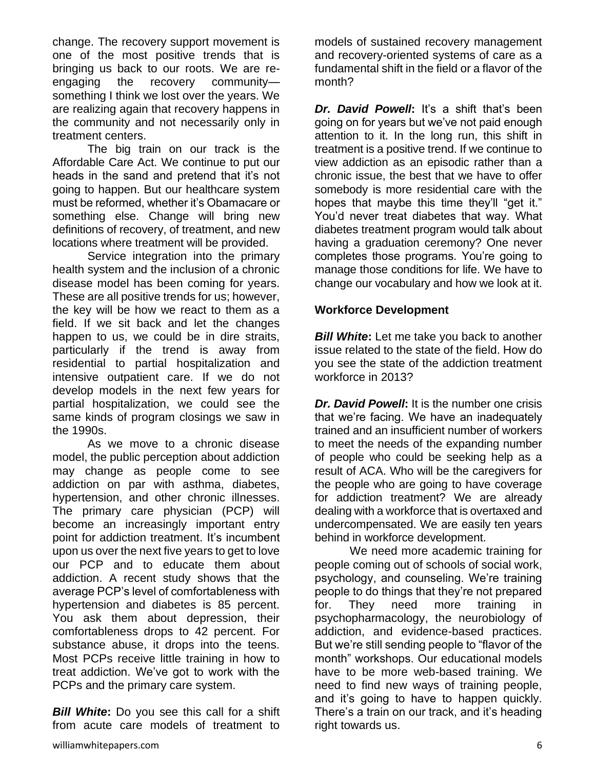change. The recovery support movement is one of the most positive trends that is bringing us back to our roots. We are reengaging the recovery community something I think we lost over the years. We are realizing again that recovery happens in the community and not necessarily only in treatment centers.

The big train on our track is the Affordable Care Act. We continue to put our heads in the sand and pretend that it's not going to happen. But our healthcare system must be reformed, whether it's Obamacare or something else. Change will bring new definitions of recovery, of treatment, and new locations where treatment will be provided.

Service integration into the primary health system and the inclusion of a chronic disease model has been coming for years. These are all positive trends for us; however, the key will be how we react to them as a field. If we sit back and let the changes happen to us, we could be in dire straits, particularly if the trend is away from residential to partial hospitalization and intensive outpatient care. If we do not develop models in the next few years for partial hospitalization, we could see the same kinds of program closings we saw in the 1990s.

As we move to a chronic disease model, the public perception about addiction may change as people come to see addiction on par with asthma, diabetes, hypertension, and other chronic illnesses. The primary care physician (PCP) will become an increasingly important entry point for addiction treatment. It's incumbent upon us over the next five years to get to love our PCP and to educate them about addiction. A recent study shows that the average PCP's level of comfortableness with hypertension and diabetes is 85 percent. You ask them about depression, their comfortableness drops to 42 percent. For substance abuse, it drops into the teens. Most PCPs receive little training in how to treat addiction. We've got to work with the PCPs and the primary care system.

*Bill White***:** Do you see this call for a shift from acute care models of treatment to

models of sustained recovery management and recovery-oriented systems of care as a fundamental shift in the field or a flavor of the month?

*Dr. David Powell***:** It's a shift that's been going on for years but we've not paid enough attention to it. In the long run, this shift in treatment is a positive trend. If we continue to view addiction as an episodic rather than a chronic issue, the best that we have to offer somebody is more residential care with the hopes that maybe this time they'll "get it." You'd never treat diabetes that way. What diabetes treatment program would talk about having a graduation ceremony? One never completes those programs. You're going to manage those conditions for life. We have to change our vocabulary and how we look at it.

#### **Workforce Development**

*Bill White***:** Let me take you back to another issue related to the state of the field. How do you see the state of the addiction treatment workforce in 2013?

*Dr. David Powell***:** It is the number one crisis that we're facing. We have an inadequately trained and an insufficient number of workers to meet the needs of the expanding number of people who could be seeking help as a result of ACA. Who will be the caregivers for the people who are going to have coverage for addiction treatment? We are already dealing with a workforce that is overtaxed and undercompensated. We are easily ten years behind in workforce development.

We need more academic training for people coming out of schools of social work, psychology, and counseling. We're training people to do things that they're not prepared for. They need more training in psychopharmacology, the neurobiology of addiction, and evidence-based practices. But we're still sending people to "flavor of the month" workshops. Our educational models have to be more web-based training. We need to find new ways of training people, and it's going to have to happen quickly. There's a train on our track, and it's heading right towards us.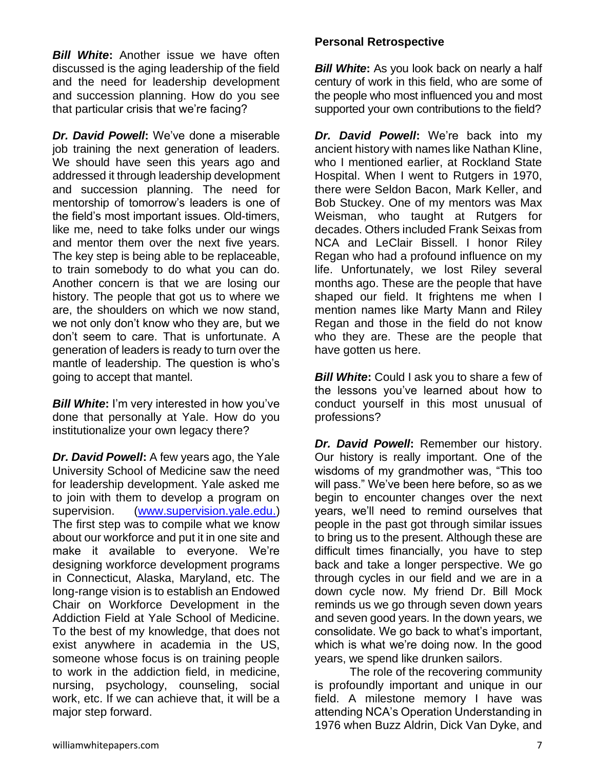*Bill White***:** Another issue we have often discussed is the aging leadership of the field and the need for leadership development and succession planning. How do you see that particular crisis that we're facing?

*Dr. David Powell***:** We've done a miserable job training the next generation of leaders. We should have seen this years ago and addressed it through leadership development and succession planning. The need for mentorship of tomorrow's leaders is one of the field's most important issues. Old-timers, like me, need to take folks under our wings and mentor them over the next five years. The key step is being able to be replaceable, to train somebody to do what you can do. Another concern is that we are losing our history. The people that got us to where we are, the shoulders on which we now stand, we not only don't know who they are, but we don't seem to care. That is unfortunate. A generation of leaders is ready to turn over the mantle of leadership. The question is who's going to accept that mantel.

*Bill White*: I'm very interested in how you've done that personally at Yale. How do you institutionalize your own legacy there?

*Dr. David Powell***:** A few years ago, the Yale University School of Medicine saw the need for leadership development. Yale asked me to join with them to develop a program on supervision. [\(www.supervision.yale.edu.](http://www.supervision.yale.edu/)) The first step was to compile what we know about our workforce and put it in one site and make it available to everyone. We're designing workforce development programs in Connecticut, Alaska, Maryland, etc. The long-range vision is to establish an Endowed Chair on Workforce Development in the Addiction Field at Yale School of Medicine. To the best of my knowledge, that does not exist anywhere in academia in the US, someone whose focus is on training people to work in the addiction field, in medicine, nursing, psychology, counseling, social work, etc. If we can achieve that, it will be a major step forward.

#### **Personal Retrospective**

*Bill White:* As you look back on nearly a half century of work in this field, who are some of the people who most influenced you and most supported your own contributions to the field?

*Dr. David Powell***:** We're back into my ancient history with names like Nathan Kline, who I mentioned earlier, at Rockland State Hospital. When I went to Rutgers in 1970, there were Seldon Bacon, Mark Keller, and Bob Stuckey. One of my mentors was Max Weisman, who taught at Rutgers for decades. Others included Frank Seixas from NCA and LeClair Bissell. I honor Riley Regan who had a profound influence on my life. Unfortunately, we lost Riley several months ago. These are the people that have shaped our field. It frightens me when I mention names like Marty Mann and Riley Regan and those in the field do not know who they are. These are the people that have gotten us here.

*Bill White***:** Could I ask you to share a few of the lessons you've learned about how to conduct yourself in this most unusual of professions?

*Dr. David Powell***:** Remember our history. Our history is really important. One of the wisdoms of my grandmother was, "This too will pass." We've been here before, so as we begin to encounter changes over the next years, we'll need to remind ourselves that people in the past got through similar issues to bring us to the present. Although these are difficult times financially, you have to step back and take a longer perspective. We go through cycles in our field and we are in a down cycle now. My friend Dr. Bill Mock reminds us we go through seven down years and seven good years. In the down years, we consolidate. We go back to what's important, which is what we're doing now. In the good years, we spend like drunken sailors.

The role of the recovering community is profoundly important and unique in our field. A milestone memory I have was attending NCA's Operation Understanding in 1976 when Buzz Aldrin, Dick Van Dyke, and